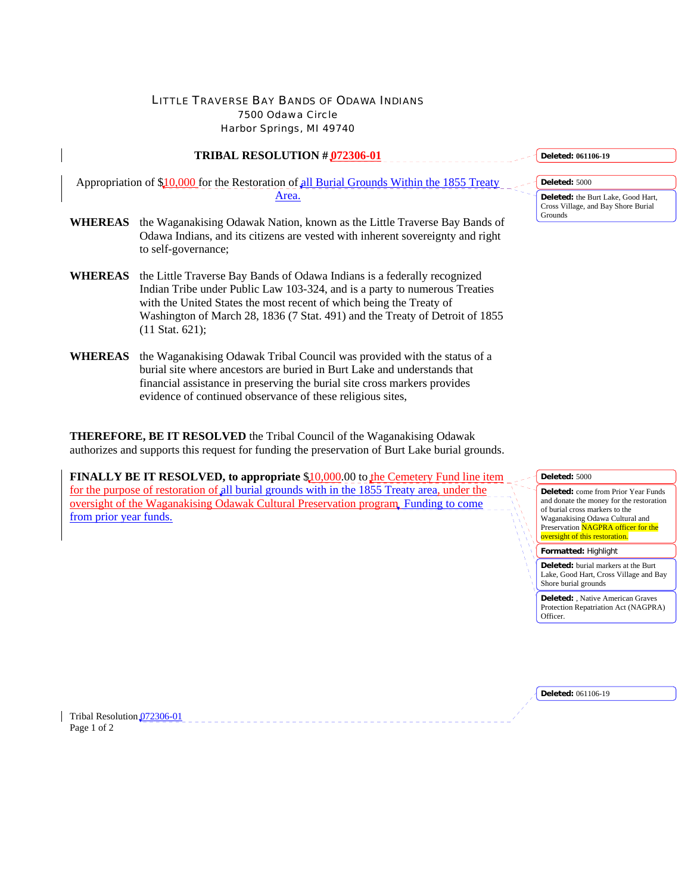## LITTLE TRAVERSE BAY BANDS OF ODAWA INDIANS 7500 Odawa Circle Harbor Springs, MI 49740

| <b>TRIBAL RESOLUTION # 072306-01</b><br><u>.</u> . |                                                                                                                                                                                                                               |  |  |  |  |  |  |
|----------------------------------------------------|-------------------------------------------------------------------------------------------------------------------------------------------------------------------------------------------------------------------------------|--|--|--|--|--|--|
|                                                    | Appropriation of \$10,000 for the Restoration of all Burial Grounds Within the 1855 Treaty<br>Area.                                                                                                                           |  |  |  |  |  |  |
| <b>WHEREAS</b>                                     | the Waganakising Odawak Nation, known as the Little Traverse Bay Bands of<br>Odawa Indians, and its citizens are vested with inherent sovereignty and right<br>to self-governance;                                            |  |  |  |  |  |  |
| <b>WHEREAS</b>                                     | the Little Traverse Bay Bands of Odawa Indians is a federally recognized<br>Indian Tribe under Public Law 103-324, and is a party to numerous Treaties<br>with the United States the most recent of which being the Treaty of |  |  |  |  |  |  |

- Washington of March 28, 1836 (7 Stat. 491) and the Treaty of Detroit of 1855 (11 Stat. 621); **WHEREAS** the Waganakising Odawak Tribal Council was provided with the status of a
- burial site where ancestors are buried in Burt Lake and understands that financial assistance in preserving the burial site cross markers provides evidence of continued observance of these religious sites,

**THEREFORE, BE IT RESOLVED** the Tribal Council of the Waganakising Odawak authorizes and supports this request for funding the preservation of Burt Lake burial grounds.

**FINALLY BE IT RESOLVED, to appropriate \$10,000.00 to the Cemetery Fund line item** for the purpose of restoration of all burial grounds with in the 1855 Treaty area, under the oversight of the Waganakising Odawak Cultural Preservation program Funding to come from prior year funds.

**Deleted: 061106-19**

**Deleted:** 5000 **Deleted:** the Burt Lake, Good Hart, Cross Village, and Bay Shore Burial Grounds

**Deleted:** 5000



**Formatted:** Highlight

**Deleted:** burial markers at the Burt Lake, Good Hart, Cross Village and Bay Shore burial grounds

**Deleted:** , Native American Graves Protection Repatriation Act (NAGPRA) Officer.

**Deleted:** 061106-19

Tribal Resolution 072306-01 Page 1 of 2